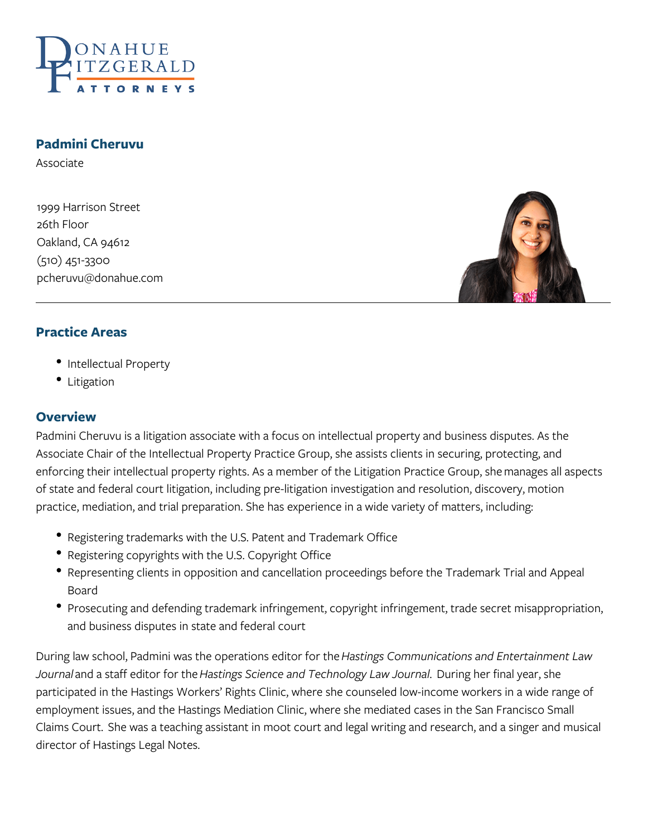

#### **Padmini Cheruvu**

Associate

1999 Harrison Street 26th Floor Oakland, CA 94612 (510) 451-3300 pcheruvu@donahue.com



#### **Practice Areas**

- Intellectual Property
- Litigation

#### **Overview**

Padmini Cheruvu is a litigation associate with a focus on intellectual property and business disputes. As the Associate Chair of the Intellectual Property Practice Group, she assists clients in securing, protecting, and enforcing their intellectual property rights. As a member of the Litigation Practice Group, she manages all aspects of state and federal court litigation, including pre-litigation investigation and resolution, discovery, motion practice, mediation, and trial preparation. She has experience in a wide variety of matters, including:

- Registering trademarks with the U.S. Patent and Trademark Office
- Registering copyrights with the U.S. Copyright Office
- Representing clients in opposition and cancellation proceedings before the Trademark Trial and Appeal Board
- Prosecuting and defending trademark infringement, copyright infringement, trade secret misappropriation, and business disputes in state and federal court

During law school, Padmini was the operations editor for the *Hastings Communications and Entertainment Law Journal* and a staff editor for the *Hastings Science and Technology Law Journal*. During her final year, she participated in the Hastings Workers' Rights Clinic, where she counseled low-income workers in a wide range of employment issues, and the Hastings Mediation Clinic, where she mediated cases in the San Francisco Small Claims Court. She was a teaching assistant in moot court and legal writing and research, and a singer and musical director of Hastings Legal Notes.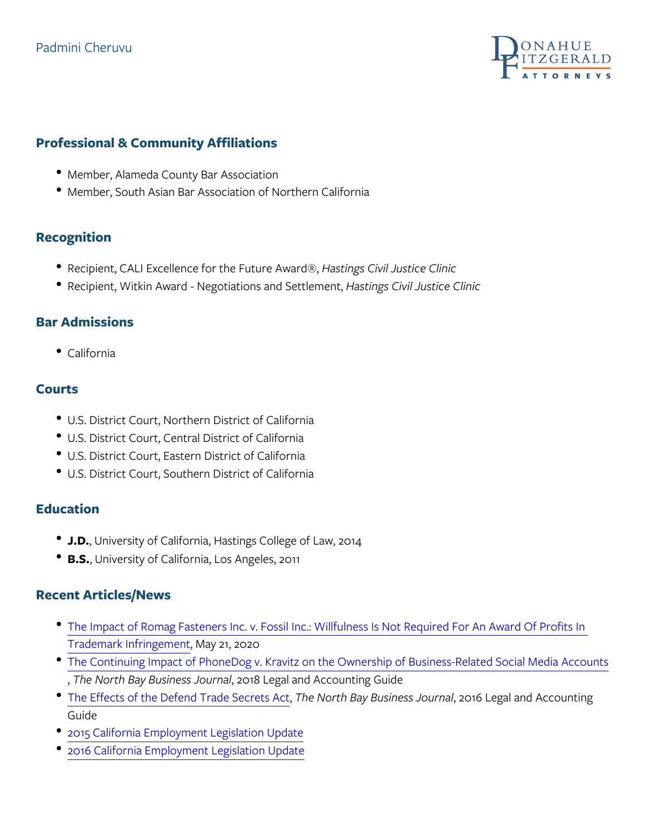## Padmini Cheruvu

## Professional & Community Affiliations

- Member, Alameda County Bar Association
- Member, South Asian Bar Association of Northern California

## Recognition

- Recipient, CALI Excellence flobastth egsucuvel Awardc@, Clinic
- Recipient, Witkin Award Negottlianstionnos a Chiolis eltut betimos on  $\mathbb C,$  linic

### Bar Admissions

California

### Courts

- U.S. District Court, Northern District of California
- U.S. District Court, Central District of California
- U.S. District Court, Eastern District of California
- U.S. District Court, Southern District of California

### Education

- J.D. University of California, Hastings College of Law, 2014
- . B. S. University of California, Los Angeles, 2011

#### Recent Articles/News

- . [The Impact of Romag Fasteners Inc. v. Fossil Inc.: Willfu](https://donahue.com/resources/publications/the-impact-of-romag-fasteners-inc-v-fossil-inc-willfulness-is-not-required-for-an-award-of-profits-in-trademark-infringement/)lness I [Trademark Inf](https://donahue.com/resources/publications/the-impact-of-romag-fasteners-inc-v-fossil-inc-willfulness-is-not-required-for-an-award-of-profits-in-trademark-infringement/)rimigagement 2020
- [The Continuing Impact of PhoneDog v. Kravitz on the Owner](https://donahue.com/resources/publications/four-years-later-continuing-impact-phonedog-v-kravitz-ownership-business-related-social-media-accounts/)ship , The North Bay Busi **20 ss** Legaria and Accounting Guide
- $\bullet$  [The Effects of the Defen](https://donahue.com/resources/publications/effects-defend-trade-secrets-act/)d ThTeand or ShedBraeyts BAussiness Lengard and Acc Guide
- [2015 California Employme](https://donahue.com/resources/publications/2015-california-employment-legislation-update-2/)nt Legislation Update
- [2016 California Employme](https://donahue.com/resources/publications/2016-california-employment-legislation-update/)nt Legislation Update